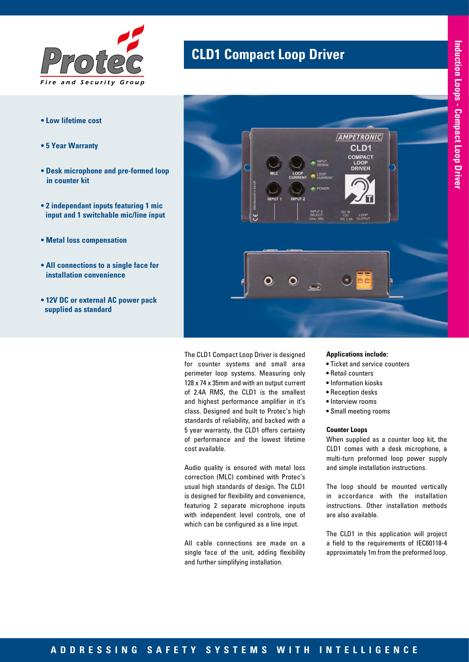

- **Low lifetime cost**
- **5 Year Warranty**
- **Desk microphone and pre-formed loop in counter kit**
- **2 independant inputs featuring 1 mic input and 1 switchable mic/line input**
- **Metal loss compensation**
- **All connections to a single face for installation convenience**
- **12V DC or external AC power pack supplied as standard**

# **CLD1 Compact Loop Driver**



The CLD1 Compact Loop Driver is designed for counter systems and small area perimeter loop systems. Measuring only 128 x 74 x 35mm and with an output current of 2.4A RMS, the CLD1 is the smallest and highest performance amplifier in it's class. Designed and built to Protec's high standards of reliability, and backed with a 5 year warranty, the CLD1 offers certainty of performance and the lowest lifetime cost available.

Audio quality is ensured with metal loss correction (MLC) combined with Protec's usual high standards of design. The CLD1 is designed for flexibility and convenience, featuring 2 separate microphone inputs with independent level controls, one of which can be configured as a line input.

All cable connections are made on a single face of the unit, adding flexibility and further simplifying installation.

### **Applications include:**

- Ticket and service counters
- Retail counters
- Information kiosks
- Reception desks
- Interview rooms
- Small meeting rooms

#### **Counter Loops**

When supplied as a counter loop kit, the CLD1 comes with a desk microphone, a multi-turn preformed loop power supply and simple installation instructions.

The loop should be mounted vertically in accordance with the installation instructions. Other installation methods are also available.

The CLD1 in this application will project a field to the requirements of IEC60118-4 approximately 1m from the preformed loop.